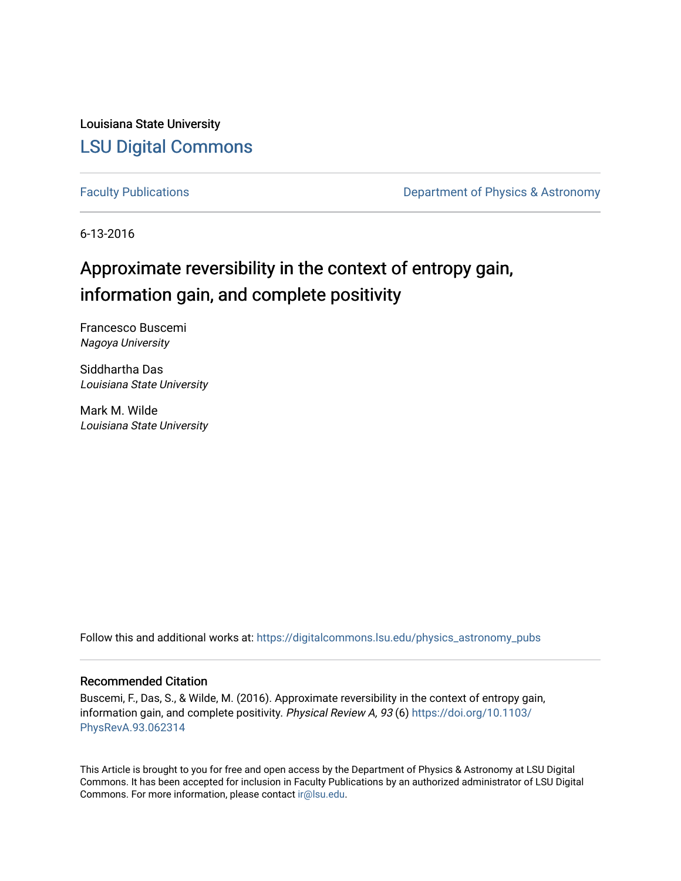Louisiana State University [LSU Digital Commons](https://digitalcommons.lsu.edu/)

[Faculty Publications](https://digitalcommons.lsu.edu/physics_astronomy_pubs) **Exercise 2 and Table 2 and Table 2 and Table 2 and Table 2 and Table 2 and Table 2 and Table 2 and Table 2 and Table 2 and Table 2 and Table 2 and Table 2 and Table 2 and Table 2 and Table 2 and Table** 

6-13-2016

## Approximate reversibility in the context of entropy gain, information gain, and complete positivity

Francesco Buscemi Nagoya University

Siddhartha Das Louisiana State University

Mark M. Wilde Louisiana State University

Follow this and additional works at: [https://digitalcommons.lsu.edu/physics\\_astronomy\\_pubs](https://digitalcommons.lsu.edu/physics_astronomy_pubs?utm_source=digitalcommons.lsu.edu%2Fphysics_astronomy_pubs%2F5670&utm_medium=PDF&utm_campaign=PDFCoverPages) 

### Recommended Citation

Buscemi, F., Das, S., & Wilde, M. (2016). Approximate reversibility in the context of entropy gain, information gain, and complete positivity. Physical Review A, 93 (6) [https://doi.org/10.1103/](https://doi.org/10.1103/PhysRevA.93.062314) [PhysRevA.93.062314](https://doi.org/10.1103/PhysRevA.93.062314) 

This Article is brought to you for free and open access by the Department of Physics & Astronomy at LSU Digital Commons. It has been accepted for inclusion in Faculty Publications by an authorized administrator of LSU Digital Commons. For more information, please contact [ir@lsu.edu](mailto:ir@lsu.edu).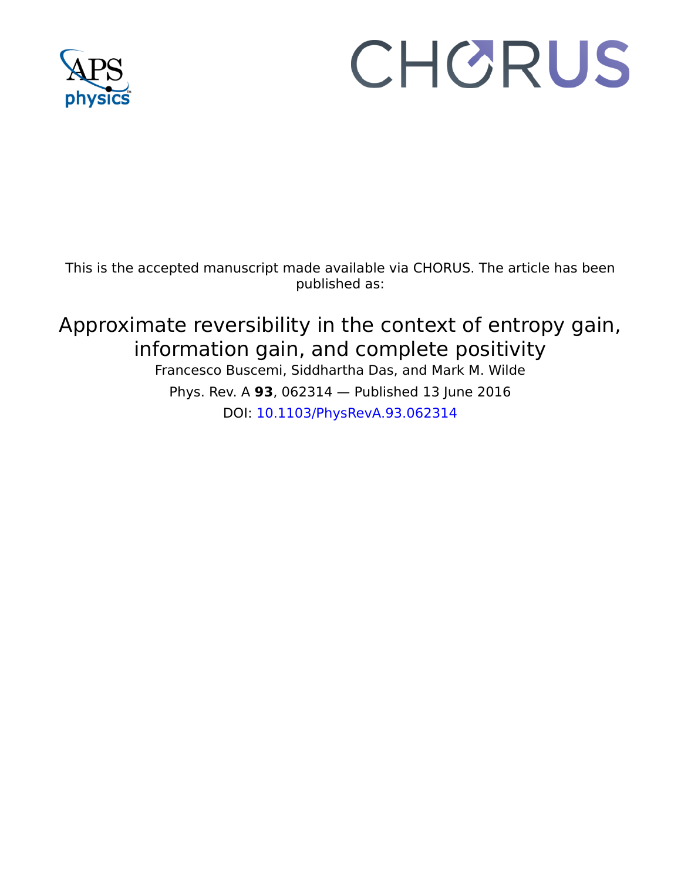

# CHORUS

This is the accepted manuscript made available via CHORUS. The article has been published as:

# Approximate reversibility in the context of entropy gain, information gain, and complete positivity Francesco Buscemi, Siddhartha Das, and Mark M. Wilde

Phys. Rev. A **93**, 062314 — Published 13 June 2016

DOI: [10.1103/PhysRevA.93.062314](http://dx.doi.org/10.1103/PhysRevA.93.062314)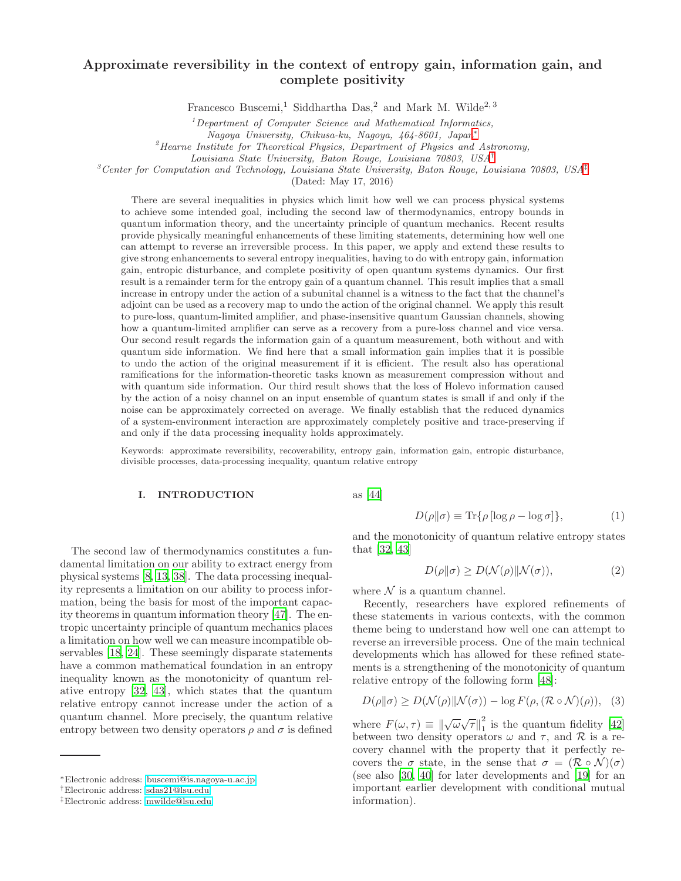## Approximate reversibility in the context of entropy gain, information gain, and complete positivity

Francesco Buscemi,<sup>1</sup> Siddhartha Das,<sup>2</sup> and Mark M. Wilde<sup>2, 3</sup>

 $1$ Department of Computer Science and Mathematical Informatics,

Nagoya University, Chikusa-ku, Nagoya, 464-8601, Japan[∗](#page-2-0)

<sup>2</sup> Hearne Institute for Theoretical Physics, Department of Physics and Astronomy,

Louisiana State University, Baton Rouge, Louisiana 70803, USA[†](#page-2-1)

<sup>3</sup>Center for Computation and Technology, Louisiana State University, Baton Rouge, Louisiana 70803, USA<sup>[‡](#page-2-2)</sup>

(Dated: May 17, 2016)

There are several inequalities in physics which limit how well we can process physical systems to achieve some intended goal, including the second law of thermodynamics, entropy bounds in quantum information theory, and the uncertainty principle of quantum mechanics. Recent results provide physically meaningful enhancements of these limiting statements, determining how well one can attempt to reverse an irreversible process. In this paper, we apply and extend these results to give strong enhancements to several entropy inequalities, having to do with entropy gain, information gain, entropic disturbance, and complete positivity of open quantum systems dynamics. Our first result is a remainder term for the entropy gain of a quantum channel. This result implies that a small increase in entropy under the action of a subunital channel is a witness to the fact that the channel's adjoint can be used as a recovery map to undo the action of the original channel. We apply this result to pure-loss, quantum-limited amplifier, and phase-insensitive quantum Gaussian channels, showing how a quantum-limited amplifier can serve as a recovery from a pure-loss channel and vice versa. Our second result regards the information gain of a quantum measurement, both without and with quantum side information. We find here that a small information gain implies that it is possible to undo the action of the original measurement if it is efficient. The result also has operational ramifications for the information-theoretic tasks known as measurement compression without and with quantum side information. Our third result shows that the loss of Holevo information caused by the action of a noisy channel on an input ensemble of quantum states is small if and only if the noise can be approximately corrected on average. We finally establish that the reduced dynamics of a system-environment interaction are approximately completely positive and trace-preserving if and only if the data processing inequality holds approximately.

Keywords: approximate reversibility, recoverability, entropy gain, information gain, entropic disturbance, divisible processes, data-processing inequality, quantum relative entropy

#### I. INTRODUCTION

The second law of thermodynamics constitutes a fundamental limitation on our ability to extract energy from physical systems [\[8](#page-12-0), [13,](#page-12-1) [38\]](#page-13-0). The data processing inequality represents a limitation on our ability to process information, being the basis for most of the important capacity theorems in quantum information theory [\[47\]](#page-13-1). The entropic uncertainty principle of quantum mechanics places a limitation on how well we can measure incompatible observables [\[18,](#page-12-2) [24\]](#page-13-2). These seemingly disparate statements have a common mathematical foundation in an entropy inequality known as the monotonicity of quantum relative entropy [\[32](#page-13-3), [43\]](#page-13-4), which states that the quantum relative entropy cannot increase under the action of a quantum channel. More precisely, the quantum relative entropy between two density operators  $\rho$  and  $\sigma$  is defined

as [\[44\]](#page-13-5)

$$
D(\rho \| \sigma) \equiv \text{Tr}\{\rho \left[ \log \rho - \log \sigma \right] \},\tag{1}
$$

and the monotonicity of quantum relative entropy states that [\[32](#page-13-3), [43](#page-13-4)]

<span id="page-2-4"></span>
$$
D(\rho \| \sigma) \ge D(\mathcal{N}(\rho) \| \mathcal{N}(\sigma)),\tag{2}
$$

where  $N$  is a quantum channel.

Recently, researchers have explored refinements of these statements in various contexts, with the common theme being to understand how well one can attempt to reverse an irreversible process. One of the main technical developments which has allowed for these refined statements is a strengthening of the monotonicity of quantum relative entropy of the following form [\[48\]](#page-13-6):

<span id="page-2-3"></span>
$$
D(\rho||\sigma) \ge D(\mathcal{N}(\rho)||\mathcal{N}(\sigma)) - \log F(\rho, (\mathcal{R} \circ \mathcal{N})(\rho)), \quad (3)
$$

where  $F(\omega, \tau) \equiv \left\| \sqrt{\omega} \sqrt{\tau} \right\|_1^2$  $\frac{2}{1}$  is the quantum fidelity [\[42](#page-13-7)] between two density operators  $\omega$  and  $\tau$ , and  $\mathcal R$  is a recovery channel with the property that it perfectly recovers the  $\sigma$  state, in the sense that  $\sigma = (\mathcal{R} \circ \mathcal{N})(\sigma)$ (see also [\[30,](#page-13-8) [40\]](#page-13-9) for later developments and [\[19](#page-12-3)] for an important earlier development with conditional mutual information).

<span id="page-2-0"></span><sup>∗</sup>Electronic address: [buscemi@is.nagoya-u.ac.jp](mailto:buscemi@is.nagoya-u.ac.jp)

<span id="page-2-1"></span><sup>†</sup>Electronic address: [sdas21@lsu.edu](mailto:sdas21@lsu.edu)

<span id="page-2-2"></span><sup>‡</sup>Electronic address: [mwilde@lsu.edu](mailto:mwilde@lsu.edu)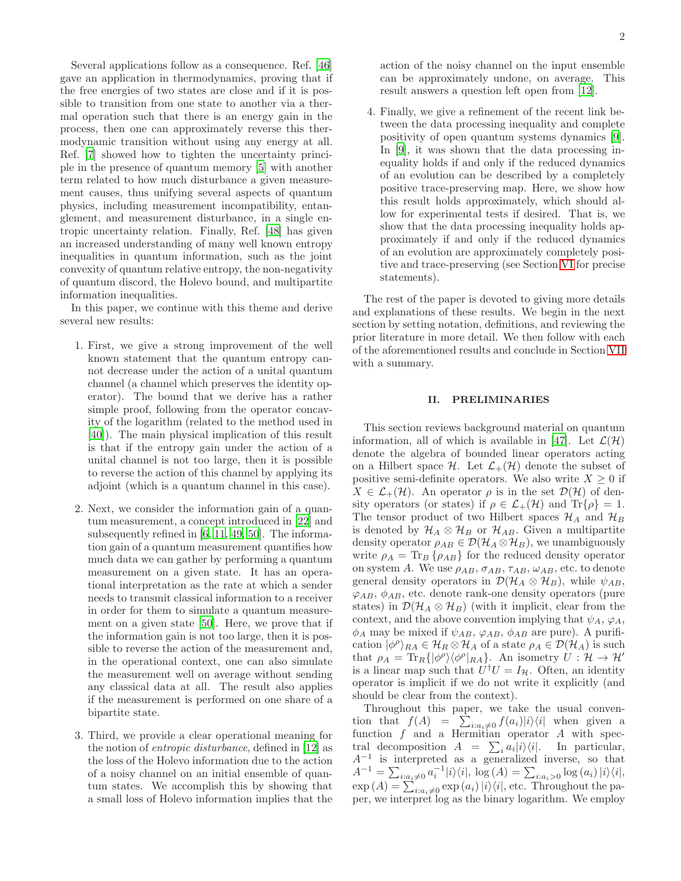Several applications follow as a consequence. Ref. [\[46](#page-13-10)] gave an application in thermodynamics, proving that if the free energies of two states are close and if it is possible to transition from one state to another via a thermal operation such that there is an energy gain in the process, then one can approximately reverse this thermodynamic transition without using any energy at all. Ref. [\[7\]](#page-12-4) showed how to tighten the uncertainty principle in the presence of quantum memory [\[5](#page-12-5)] with another term related to how much disturbance a given measurement causes, thus unifying several aspects of quantum physics, including measurement incompatibility, entanglement, and measurement disturbance, in a single entropic uncertainty relation. Finally, Ref. [\[48](#page-13-6)] has given an increased understanding of many well known entropy inequalities in quantum information, such as the joint convexity of quantum relative entropy, the non-negativity of quantum discord, the Holevo bound, and multipartite information inequalities.

In this paper, we continue with this theme and derive several new results:

- 1. First, we give a strong improvement of the well known statement that the quantum entropy cannot decrease under the action of a unital quantum channel (a channel which preserves the identity operator). The bound that we derive has a rather simple proof, following from the operator concavity of the logarithm (related to the method used in [\[40\]](#page-13-9)). The main physical implication of this result is that if the entropy gain under the action of a unital channel is not too large, then it is possible to reverse the action of this channel by applying its adjoint (which is a quantum channel in this case).
- 2. Next, we consider the information gain of a quantum measurement, a concept introduced in [\[22\]](#page-13-11) and subsequently refined in [\[6](#page-12-6), [11,](#page-12-7) [49,](#page-13-12) [50\]](#page-13-13). The information gain of a quantum measurement quantifies how much data we can gather by performing a quantum measurement on a given state. It has an operational interpretation as the rate at which a sender needs to transmit classical information to a receiver in order for them to simulate a quantum measurement on a given state [\[50](#page-13-13)]. Here, we prove that if the information gain is not too large, then it is possible to reverse the action of the measurement and, in the operational context, one can also simulate the measurement well on average without sending any classical data at all. The result also applies if the measurement is performed on one share of a bipartite state.
- 3. Third, we provide a clear operational meaning for the notion of entropic disturbance, defined in [\[12\]](#page-12-8) as the loss of the Holevo information due to the action of a noisy channel on an initial ensemble of quantum states. We accomplish this by showing that a small loss of Holevo information implies that the

action of the noisy channel on the input ensemble can be approximately undone, on average. This result answers a question left open from [\[12](#page-12-8)].

4. Finally, we give a refinement of the recent link between the data processing inequality and complete positivity of open quantum systems dynamics [\[9\]](#page-12-9). In [\[9](#page-12-9)], it was shown that the data processing inequality holds if and only if the reduced dynamics of an evolution can be described by a completely positive trace-preserving map. Here, we show how this result holds approximately, which should allow for experimental tests if desired. That is, we show that the data processing inequality holds approximately if and only if the reduced dynamics of an evolution are approximately completely positive and trace-preserving (see Section [VI](#page-10-0) for precise statements).

The rest of the paper is devoted to giving more details and explanations of these results. We begin in the next section by setting notation, definitions, and reviewing the prior literature in more detail. We then follow with each of the aforementioned results and conclude in Section [VII](#page-11-0) with a summary.

#### II. PRELIMINARIES

This section reviews background material on quantum information, all of which is available in [\[47](#page-13-1)]. Let  $\mathcal{L}(\mathcal{H})$ denote the algebra of bounded linear operators acting on a Hilbert space H. Let  $\mathcal{L}_+(\mathcal{H})$  denote the subset of positive semi-definite operators. We also write  $X \geq 0$  if  $X \in \mathcal{L}_+(\mathcal{H})$ . An operator  $\rho$  is in the set  $\mathcal{D}(\mathcal{H})$  of density operators (or states) if  $\rho \in \mathcal{L}_+(\mathcal{H})$  and  $\text{Tr}\{\rho\} = 1$ . The tensor product of two Hilbert spaces  $\mathcal{H}_A$  and  $\mathcal{H}_B$ is denoted by  $\mathcal{H}_A \otimes \mathcal{H}_B$  or  $\mathcal{H}_{AB}$ . Given a multipartite density operator  $\rho_{AB} \in \mathcal{D}(\mathcal{H}_A \otimes \mathcal{H}_B)$ , we unambiguously write  $\rho_A = \text{Tr}_B \{ \rho_{AB} \}$  for the reduced density operator on system A. We use  $\rho_{AB}, \sigma_{AB}, \tau_{AB}, \omega_{AB}$ , etc. to denote general density operators in  $\mathcal{D}(\mathcal{H}_A \otimes \mathcal{H}_B)$ , while  $\psi_{AB}$ ,  $\varphi_{AB}, \phi_{AB}$ , etc. denote rank-one density operators (pure states) in  $\mathcal{D}(\mathcal{H}_A \otimes \mathcal{H}_B)$  (with it implicit, clear from the context, and the above convention implying that  $\psi_A$ ,  $\varphi_A$ ,  $\phi_A$  may be mixed if  $\psi_{AB}$ ,  $\varphi_{AB}$ ,  $\phi_{AB}$  are pure). A purification  $|\phi^{\rho}\rangle_{RA} \in \mathcal{H}_{R} \otimes \mathcal{H}_{A}$  of a state  $\rho_{A} \in \mathcal{D}(\mathcal{H}_{A})$  is such that  $\rho_A = \text{Tr}_R\{|\phi^{\rho}\rangle\langle\phi^{\rho}|_{RA}\}\right\}$ . An isometry  $U : \mathcal{H} \to \mathcal{H}'$ is a linear map such that  $\hat{U}^{\dagger}U = I_{\mathcal{H}}$ . Often, an identity operator is implicit if we do not write it explicitly (and should be clear from the context).

Throughout this paper, we take the usual convention that  $f(A) = \sum_{i:a_i\neq 0} f(a_i)|i\rangle\langle i|$  when given a function  $f$  and a Hermitian operator  $A$  with spectral decomposition  $A = \sum_i a_i |i\rangle\langle i|$ . In particular,  $A^{-1}$  is interpreted as a generalized inverse, so that  $A^{-1} = \sum_{i:a_i \neq 0} a_i^{-1} |i\rangle\langle i|, \log(A) = \sum_{i:a_i > 0} \log(a_i) |i\rangle\langle i|,$  $\exp(A) = \sum_{i:a_i\neq 0} \exp(a_i)|i\rangle\langle i|$ , etc. Throughout the paper, we interpret log as the binary logarithm. We employ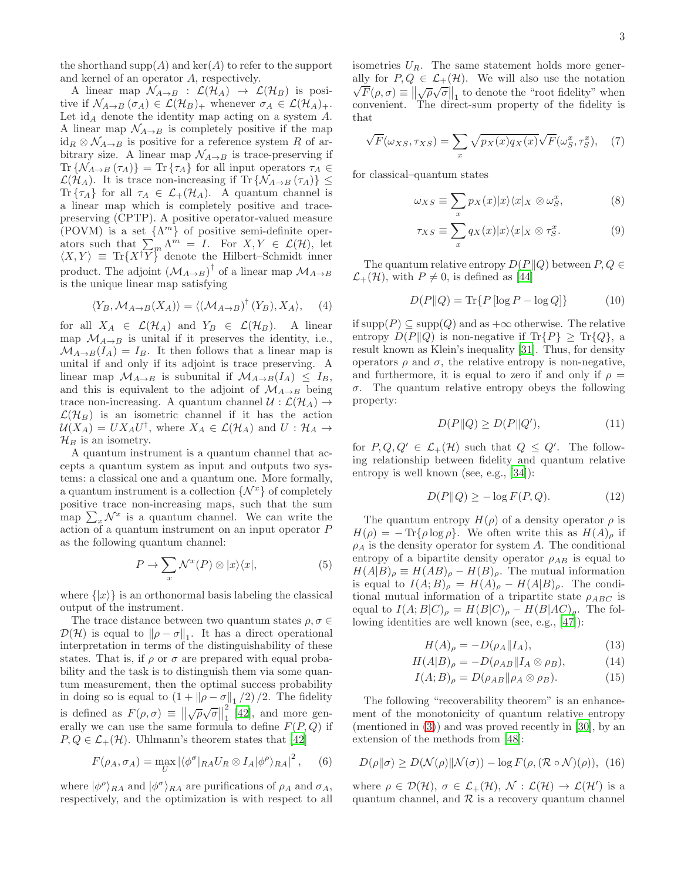the shorthand  $\text{supp}(A)$  and  $\text{ker}(A)$  to refer to the support and kernel of an operator A, respectively.

A linear map  $\mathcal{N}_{A\rightarrow B}$  :  $\mathcal{L}(\mathcal{H}_A) \rightarrow \mathcal{L}(\mathcal{H}_B)$  is positive if  $\mathcal{N}_{A\rightarrow B}(\sigma_A) \in \mathcal{L}(\mathcal{H}_B)_+$  whenever  $\sigma_A \in \mathcal{L}(\mathcal{H}_A)_+$ . Let  $\mathrm{id}_A$  denote the identity map acting on a system A. A linear map  $\mathcal{N}_{A\rightarrow B}$  is completely positive if the map  $id_R \otimes \mathcal{N}_{A\rightarrow B}$  is positive for a reference system R of arbitrary size. A linear map  $\mathcal{N}_{A\rightarrow B}$  is trace-preserving if  $\text{Tr} \left\{ \mathcal{N}_{A\rightarrow B} \left( \tau_A \right) \right\} = \text{Tr} \left\{ \tau_A \right\}$  for all input operators  $\tau_A \in$  $\mathcal{L}(\mathcal{H}_A)$ . It is trace non-increasing if Tr  $\{\mathcal{N}_{A\rightarrow B}(\tau_A)\}\leq$  $\text{Tr}\{\tau_A\}$  for all  $\tau_A \in \mathcal{L}_+(\mathcal{H}_A)$ . A quantum channel is a linear map which is completely positive and tracepreserving (CPTP). A positive operator-valued measure (POVM) is a set  $\{\Lambda^m\}$  of positive semi-definite operators such that  $\sum_{m} \Lambda^m = I$ . For  $X, Y \in \mathcal{L}(\mathcal{H})$ , let  $\langle X, Y \rangle \equiv \text{Tr}\{X^{\dagger}Y\}$  denote the Hilbert–Schmidt inner product. The adjoint  $(M_{A\rightarrow B})^{\dagger}$  of a linear map  $M_{A\rightarrow B}$ is the unique linear map satisfying

$$
\langle Y_B, \mathcal{M}_{A \to B}(X_A) \rangle = \langle (\mathcal{M}_{A \to B})^{\dagger} (Y_B), X_A \rangle, \quad (4)
$$

for all  $X_A \in \mathcal{L}(\mathcal{H}_A)$  and  $Y_B \in \mathcal{L}(\mathcal{H}_B)$ . A linear map  $\mathcal{M}_{A\rightarrow B}$  is unital if it preserves the identity, i.e.,  $\mathcal{M}_{A\rightarrow B}(I_A) = I_B$ . It then follows that a linear map is unital if and only if its adjoint is trace preserving. A linear map  $\mathcal{M}_{A\to B}$  is subunital if  $\mathcal{M}_{A\to B}(I_A) \leq I_B$ , and this is equivalent to the adjoint of  $\mathcal{M}_{A\rightarrow B}$  being trace non-increasing. A quantum channel  $\mathcal{U}: \mathcal{L}(\mathcal{H}_A) \to$  $\mathcal{L}(\mathcal{H}_B)$  is an isometric channel if it has the action  $\mathcal{U}(X_A) = U X_A U^{\dagger}$ , where  $X_A \in \mathcal{L}(\mathcal{H}_A)$  and  $U : \mathcal{H}_A \to$  $\mathcal{H}_B$  is an isometry.

A quantum instrument is a quantum channel that accepts a quantum system as input and outputs two systems: a classical one and a quantum one. More formally, a quantum instrument is a collection  $\{N^x\}$  of completely positive trace non-increasing maps, such that the sum map  $\sum_{x} \mathcal{N}^x$  is a quantum channel. We can write the action of a quantum instrument on an input operator P as the following quantum channel:

<span id="page-4-4"></span>
$$
P \to \sum_{x} \mathcal{N}^{x}(P) \otimes |x\rangle\langle x|, \tag{5}
$$

where  $\{|x\rangle\}$  is an orthonormal basis labeling the classical output of the instrument.

The trace distance between two quantum states  $\rho, \sigma \in$  $\mathcal{D}(\mathcal{H})$  is equal to  $\|\rho - \sigma\|_1$ . It has a direct operational interpretation in terms of the distinguishability of these states. That is, if  $\rho$  or  $\sigma$  are prepared with equal probability and the task is to distinguish them via some quantum measurement, then the optimal success probability in doing so is equal to  $(1 + ||\rho - \sigma||_1 / 2) / 2$ . The fidelity is defined as  $F(\rho, \sigma) \equiv \left\| \sqrt{\rho} \sqrt{\sigma} \right\|$ 2  $\frac{2}{1}$  [\[42\]](#page-13-7), and more generally we can use the same formula to define  $F(P, Q)$  if  $P, Q \in \mathcal{L}_+(\mathcal{H})$ . Uhlmann's theorem states that [\[42\]](#page-13-7)

<span id="page-4-6"></span>
$$
F(\rho_A, \sigma_A) = \max_{U} |\langle \phi^{\sigma} |_{RA} U_R \otimes I_A | \phi^{\rho} \rangle_{RA}|^2, \quad (6)
$$

where  $|\phi^{\rho}\rangle_{RA}$  and  $|\phi^{\sigma}\rangle_{RA}$  are purifications of  $\rho_A$  and  $\sigma_A$ , respectively, and the optimization is with respect to all isometries  $U_R$ . The same statement holds more generally for  $P, Q \in \mathcal{L}_+(\mathcal{H})$ . We will also use the notation  $\sqrt{F}(\rho, \sigma) \equiv \left\| \sqrt{\rho} \sqrt{\sigma} \right\|_1$  to denote the "root fidelity" when convenient. The direct-sum property of the fidelity is that

<span id="page-4-7"></span>
$$
\sqrt{F}(\omega_{XS}, \tau_{XS}) = \sum_{x} \sqrt{p_X(x)q_X(x)} \sqrt{F}(\omega_S^x, \tau_S^x), \quad (7)
$$

for classical–quantum states

$$
\omega_{XS} \equiv \sum_{x} p_X(x) |x\rangle\langle x|_X \otimes \omega_S^x, \tag{8}
$$

$$
\tau_{XS} \equiv \sum_{x} q_X(x) |x\rangle\langle x|_X \otimes \tau_S^x. \tag{9}
$$

The quantum relative entropy  $D(P||Q)$  between  $P, Q \in$  $\mathcal{L}_+(\mathcal{H})$ , with  $P \neq 0$ , is defined as [\[44\]](#page-13-5)

$$
D(P||Q) = \text{Tr}\{P\left[\log P - \log Q\right]\}\tag{10}
$$

if  $\text{supp}(P) \subseteq \text{supp}(Q)$  and as  $+\infty$  otherwise. The relative entropy  $D(P||Q)$  is non-negative if  $\text{Tr}{P} \geq \text{Tr}{Q}$ , a result known as Klein's inequality [\[31\]](#page-13-14). Thus, for density operators  $\rho$  and  $\sigma$ , the relative entropy is non-negative, and furthermore, it is equal to zero if and only if  $\rho =$ σ. The quantum relative entropy obeys the following property:

<span id="page-4-2"></span>
$$
D(P||Q) \ge D(P||Q'),\tag{11}
$$

for  $P, Q, Q' \in \mathcal{L}_+(\mathcal{H})$  such that  $Q \leq Q'$ . The following relationship between fidelity and quantum relative entropy is well known (see, e.g., [\[34\]](#page-13-15)):

<span id="page-4-3"></span>
$$
D(P||Q) \ge -\log F(P,Q). \tag{12}
$$

The quantum entropy  $H(\rho)$  of a density operator  $\rho$  is  $H(\rho) = -\text{Tr}\{\rho \log \rho\}$ . We often write this as  $H(A)_{\rho}$  if  $\rho_A$  is the density operator for system A. The conditional entropy of a bipartite density operator  $\rho_{AB}$  is equal to  $H(A|B)_{\rho} \equiv H(AB)_{\rho} - H(B)_{\rho}$ . The mutual information is equal to  $I(A;B)_{\rho} = H(A)_{\rho} - H(A|B)_{\rho}$ . The conditional mutual information of a tripartite state  $\rho_{ABC}$  is equal to  $I(A;B|C)_{\rho} = H(B|C)_{\rho} - H(B|AC)_{\rho}$ . The following identities are well known (see, e.g., [\[47](#page-13-1)]):

<span id="page-4-5"></span><span id="page-4-1"></span>
$$
H(A)_{\rho} = -D(\rho_A || I_A),\tag{13}
$$

$$
H(A|B)_{\rho} = -D(\rho_{AB}||I_A \otimes \rho_B), \tag{14}
$$

$$
I(A;B)_{\rho} = D(\rho_{AB} || \rho_A \otimes \rho_B). \tag{15}
$$

The following "recoverability theorem" is an enhancement of the monotonicity of quantum relative entropy (mentioned in [\(3\)](#page-2-3)) and was proved recently in [\[30\]](#page-13-8), by an extension of the methods from [\[48](#page-13-6)]:

<span id="page-4-0"></span>
$$
D(\rho||\sigma) \ge D(\mathcal{N}(\rho)||\mathcal{N}(\sigma)) - \log F(\rho, (\mathcal{R} \circ \mathcal{N})(\rho)), \tag{16}
$$

where  $\rho \in \mathcal{D}(\mathcal{H}), \sigma \in \mathcal{L}_+(\mathcal{H}), \mathcal{N}: \mathcal{L}(\mathcal{H}) \to \mathcal{L}(\mathcal{H}')$  is a quantum channel, and  $\mathcal R$  is a recovery quantum channel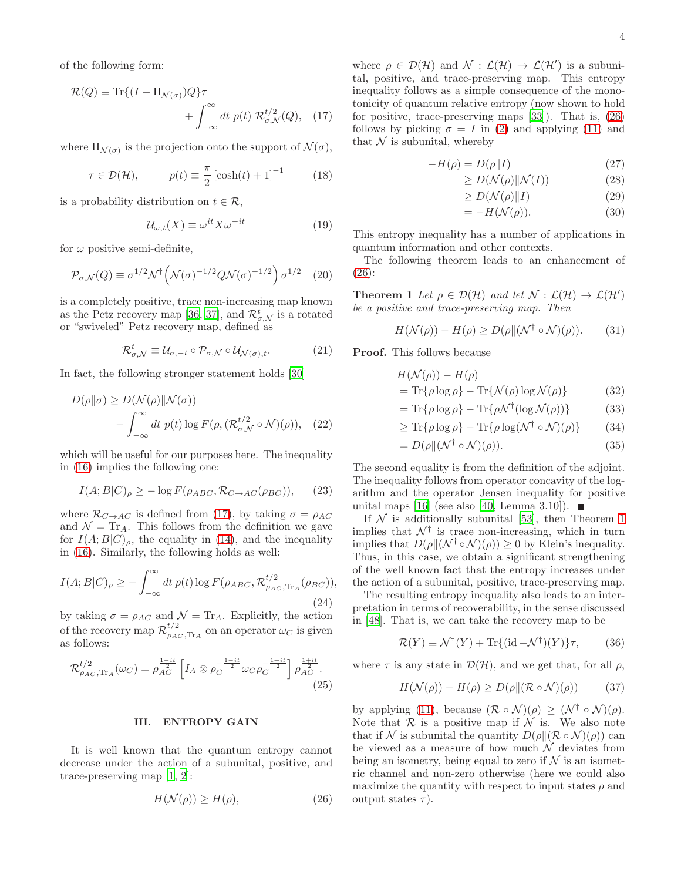of the following form:

$$
\mathcal{R}(Q) \equiv \text{Tr}\{(I - \Pi_{\mathcal{N}(\sigma)})Q\}\tau + \int_{-\infty}^{\infty} dt \ p(t) \ \mathcal{R}^{t/2}_{\sigma,\mathcal{N}}(Q), \quad (17)
$$

where  $\Pi_{\mathcal{N}(\sigma)}$  is the projection onto the support of  $\mathcal{N}(\sigma)$ ,

<span id="page-5-7"></span>
$$
\tau \in \mathcal{D}(\mathcal{H}), \qquad p(t) \equiv \frac{\pi}{2} \left[ \cosh(t) + 1 \right]^{-1} \tag{18}
$$

is a probability distribution on  $t \in \mathcal{R}$ ,

$$
\mathcal{U}_{\omega,t}(X) \equiv \omega^{it} X \omega^{-it} \tag{19}
$$

for  $\omega$  positive semi-definite,

$$
\mathcal{P}_{\sigma,\mathcal{N}}(Q) \equiv \sigma^{1/2}\mathcal{N}^{\dagger}\left(\mathcal{N}(\sigma)^{-1/2}Q\mathcal{N}(\sigma)^{-1/2}\right)\sigma^{1/2} \quad (20)
$$

is a completely positive, trace non-increasing map known as the Petz recovery map [\[36](#page-13-16), [37](#page-13-17)], and  $\mathcal{R}^t_{\sigma,\mathcal{N}}$  is a rotated or "swiveled" Petz recovery map, defined as

$$
\mathcal{R}_{\sigma,\mathcal{N}}^t \equiv \mathcal{U}_{\sigma,-t} \circ \mathcal{P}_{\sigma,\mathcal{N}} \circ \mathcal{U}_{\mathcal{N}(\sigma),t}.
$$
 (21)

In fact, the following stronger statement holds [\[30](#page-13-8)]

$$
D(\rho||\sigma) \ge D(\mathcal{N}(\rho)||\mathcal{N}(\sigma))
$$
  
- 
$$
\int_{-\infty}^{\infty} dt \ p(t) \log F(\rho, (\mathcal{R}_{\sigma,\mathcal{N}}^{t/2} \circ \mathcal{N})(\rho)), \quad (22)
$$

which will be useful for our purposes here. The inequality in [\(16\)](#page-4-0) implies the following one:

<span id="page-5-6"></span>
$$
I(A;B|C)_{\rho} \ge -\log F(\rho_{ABC}, \mathcal{R}_{C \to AC}(\rho_{BC})),\tag{23}
$$

where  $\mathcal{R}_{C\to AC}$  is defined from [\(17\)](#page-5-0), by taking  $\sigma = \rho_{AC}$ and  $\mathcal{N} = \text{Tr}_A$ . This follows from the definition we gave for  $I(A;B|C)_{\alpha}$ , the equality in [\(14\)](#page-4-1), and the inequality in [\(16\)](#page-4-0). Similarly, the following holds as well:

<span id="page-5-5"></span>
$$
I(A;B|C)_{\rho} \ge -\int_{-\infty}^{\infty} dt \, p(t) \log F(\rho_{ABC}, \mathcal{R}^{t/2}_{\rho_{AC},\text{Tr}_{A}}(\rho_{BC})),
$$
\n(24)

by taking  $\sigma = \rho_{AC}$  and  $\mathcal{N} = \text{Tr}_A$ . Explicitly, the action of the recovery map  $\mathcal{R}_{\rho_{AC}}^{t/2}$  $\frac{\mu}{\rho_{AC}}$ , Tr<sub>A</sub> on an operator  $\omega_C$  is given as follows:

$$
\mathcal{R}_{\rho_{AC},\text{Tr}_{A}}^{t/2}(\omega_{C}) = \rho_{AC}^{\frac{1-it}{2}} \left[ I_{A} \otimes \rho_{C}^{-\frac{1-it}{2}} \omega_{C} \rho_{C}^{-\frac{1+it}{2}} \right] \rho_{AC}^{\frac{1+it}{2}}.
$$
\n(25)

#### III. ENTROPY GAIN

It is well known that the quantum entropy cannot decrease under the action of a subunital, positive, and trace-preserving map [\[1,](#page-12-10) [2\]](#page-12-11):

<span id="page-5-1"></span>
$$
H(\mathcal{N}(\rho)) \ge H(\rho),\tag{26}
$$

<span id="page-5-0"></span>where  $\rho \in \mathcal{D}(\mathcal{H})$  and  $\mathcal{N} : \mathcal{L}(\mathcal{H}) \to \mathcal{L}(\mathcal{H}')$  is a subunital, positive, and trace-preserving map. This entropy inequality follows as a simple consequence of the monotonicity of quantum relative entropy (now shown to hold for positive, trace-preserving maps [\[33\]](#page-13-18)). That is, [\(26\)](#page-5-1) follows by picking  $\sigma = I$  in [\(2\)](#page-2-4) and applying [\(11\)](#page-4-2) and that  $N$  is subunital, whereby

$$
-H(\rho) = D(\rho||I) \tag{27}
$$

$$
\geq D(\mathcal{N}(\rho) \| \mathcal{N}(I)) \tag{28}
$$

$$
\geq D(\mathcal{N}(\rho) \| I) \tag{29}
$$

$$
=-H(\mathcal{N}(\rho)).\tag{30}
$$

This entropy inequality has a number of applications in quantum information and other contexts.

<span id="page-5-2"></span>The following theorem leads to an enhancement of [\(26\)](#page-5-1):

**Theorem 1** Let  $\rho \in \mathcal{D}(\mathcal{H})$  and let  $\mathcal{N} : \mathcal{L}(\mathcal{H}) \to \mathcal{L}(\mathcal{H}')$ be a positive and trace-preserving map. Then

$$
H(\mathcal{N}(\rho)) - H(\rho) \ge D(\rho \| (\mathcal{N}^{\dagger} \circ \mathcal{N})(\rho)). \tag{31}
$$

Proof. This follows because

$$
H(\mathcal{N}(\rho)) - H(\rho)
$$
  
= Tr{ $\rho \log \rho$ } - Tr{ $\mathcal{N}(\rho) \log \mathcal{N}(\rho)$ } (32)

$$
= \text{Tr}\{\rho \log \rho\} - \text{Tr}\{\rho \mathcal{N}^{\dagger}(\log \mathcal{N}(\rho))\}\tag{33}
$$

$$
\geq \text{Tr}\{\rho \log \rho\} - \text{Tr}\{\rho \log(\mathcal{N}^{\dagger} \circ \mathcal{N})(\rho)\} \tag{34}
$$

$$
=D(\rho\|(\mathcal{N}^{\dagger}\circ\mathcal{N})(\rho)).\tag{35}
$$

<span id="page-5-4"></span>The second equality is from the definition of the adjoint. The inequality follows from operator concavity of the logarithm and the operator Jensen inequality for positive unital maps [\[16\]](#page-12-12) (see also [\[40,](#page-13-9) Lemma 3.10]).  $\blacksquare$ 

If  $N$  is additionally subunital [\[53\]](#page-13-19), then Theorem [1](#page-5-2) implies that  $\mathcal{N}^{\dagger}$  is trace non-increasing, which in turn implies that  $D(\rho || (\mathcal{N}^{\dagger} \circ \mathcal{N})(\rho)) \geq 0$  by Klein's inequality. Thus, in this case, we obtain a significant strengthening of the well known fact that the entropy increases under the action of a subunital, positive, trace-preserving map.

The resulting entropy inequality also leads to an interpretation in terms of recoverability, in the sense discussed in [\[48\]](#page-13-6). That is, we can take the recovery map to be

$$
\mathcal{R}(Y) \equiv \mathcal{N}^{\dagger}(Y) + \text{Tr}\{(\text{id} - \mathcal{N}^{\dagger})(Y)\}\tau,
$$
 (36)

where  $\tau$  is any state in  $\mathcal{D}(\mathcal{H})$ , and we get that, for all  $\rho$ ,

<span id="page-5-3"></span>
$$
H(\mathcal{N}(\rho)) - H(\rho) \ge D(\rho \| (\mathcal{R} \circ \mathcal{N})(\rho)) \tag{37}
$$

by applying [\(11\)](#page-4-2), because  $(\mathcal{R} \circ \mathcal{N})(\rho) \geq (\mathcal{N}^{\dagger} \circ \mathcal{N})(\rho)$ . Note that  $\mathcal R$  is a positive map if  $\mathcal N$  is. We also note that if N is subunital the quantity  $D(\rho \| (R \circ \mathcal{N})(\rho))$  can be viewed as a measure of how much  $\mathcal N$  deviates from being an isometry, being equal to zero if  $\mathcal N$  is an isometric channel and non-zero otherwise (here we could also maximize the quantity with respect to input states  $\rho$  and output states  $\tau$ ).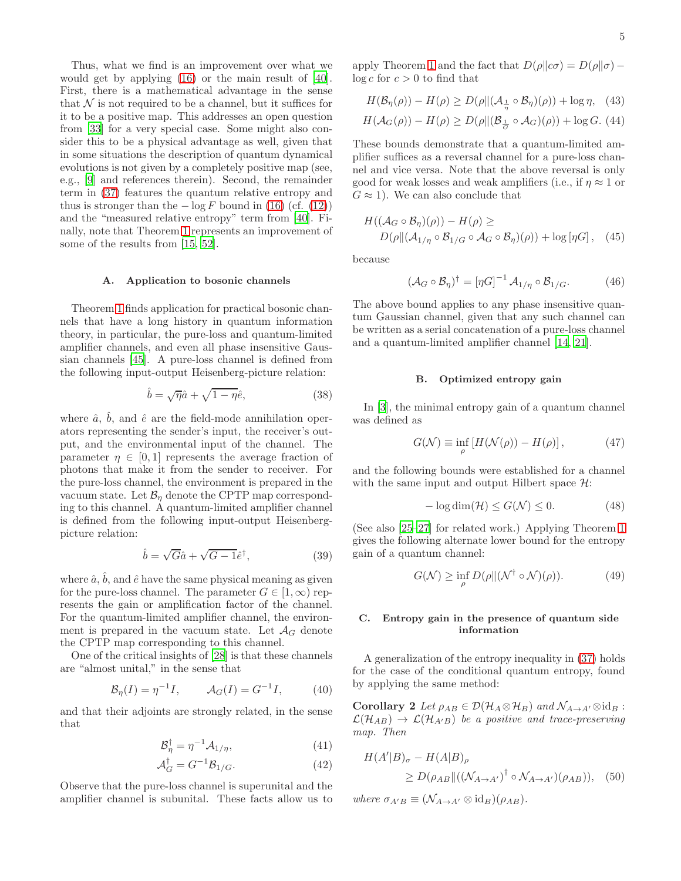Thus, what we find is an improvement over what we would get by applying [\(16\)](#page-4-0) or the main result of [\[40\]](#page-13-9). First, there is a mathematical advantage in the sense that  $N$  is not required to be a channel, but it suffices for it to be a positive map. This addresses an open question from [\[33\]](#page-13-18) for a very special case. Some might also consider this to be a physical advantage as well, given that in some situations the description of quantum dynamical evolutions is not given by a completely positive map (see, e.g., [\[9\]](#page-12-9) and references therein). Second, the remainder term in [\(37\)](#page-5-3) features the quantum relative entropy and thus is stronger than the  $-\log F$  bound in [\(16\)](#page-4-0) (cf. [\(12\)](#page-4-3)) and the "measured relative entropy" term from [\[40\]](#page-13-9). Finally, note that Theorem [1](#page-5-2) represents an improvement of some of the results from [\[15,](#page-12-13) [52\]](#page-13-20).

#### A. Application to bosonic channels

Theorem [1](#page-5-2) finds application for practical bosonic channels that have a long history in quantum information theory, in particular, the pure-loss and quantum-limited amplifier channels, and even all phase insensitive Gaussian channels [\[45](#page-13-21)]. A pure-loss channel is defined from the following input-output Heisenberg-picture relation:

$$
\hat{b} = \sqrt{\eta}\hat{a} + \sqrt{1 - \eta}\hat{e},\tag{38}
$$

where  $\hat{a}$ ,  $\hat{b}$ , and  $\hat{e}$  are the field-mode annihilation operators representing the sender's input, the receiver's output, and the environmental input of the channel. The parameter  $\eta \in [0, 1]$  represents the average fraction of photons that make it from the sender to receiver. For the pure-loss channel, the environment is prepared in the vacuum state. Let  $\mathcal{B}_\eta$  denote the CPTP map corresponding to this channel. A quantum-limited amplifier channel is defined from the following input-output Heisenbergpicture relation:

$$
\hat{b} = \sqrt{G}\hat{a} + \sqrt{G - 1}\hat{e}^{\dagger},\tag{39}
$$

where  $\hat{a}$ ,  $\hat{b}$ , and  $\hat{e}$  have the same physical meaning as given for the pure-loss channel. The parameter  $G \in [1, \infty)$  represents the gain or amplification factor of the channel. For the quantum-limited amplifier channel, the environment is prepared in the vacuum state. Let  $\mathcal{A}_G$  denote the CPTP map corresponding to this channel.

One of the critical insights of [\[28](#page-13-22)] is that these channels are "almost unital," in the sense that

$$
\mathcal{B}_{\eta}(I) = \eta^{-1}I, \qquad \mathcal{A}_G(I) = G^{-1}I, \qquad (40)
$$

and that their adjoints are strongly related, in the sense that

$$
\mathcal{B}_{\eta}^{\dagger} = \eta^{-1} \mathcal{A}_{1/\eta},\tag{41}
$$

$$
\mathcal{A}_G^\dagger = G^{-1} \mathcal{B}_{1/G}.\tag{42}
$$

Observe that the pure-loss channel is superunital and the amplifier channel is subunital. These facts allow us to apply Theorem [1](#page-5-2) and the fact that  $D(\rho||c\sigma) = D(\rho||\sigma) \log c$  for  $c > 0$  to find that

$$
H(\mathcal{B}_{\eta}(\rho)) - H(\rho) \ge D(\rho \| (\mathcal{A}_{\frac{1}{\eta}} \circ \mathcal{B}_{\eta})(\rho)) + \log \eta, \quad (43)
$$

$$
H(\mathcal{A}_G(\rho)) - H(\rho) \ge D(\rho \| (\mathcal{B}_{\frac{1}{G}} \circ \mathcal{A}_G)(\rho)) + \log G. (44)
$$

These bounds demonstrate that a quantum-limited amplifier suffices as a reversal channel for a pure-loss channel and vice versa. Note that the above reversal is only good for weak losses and weak amplifiers (i.e., if  $\eta \approx 1$  or  $G \approx 1$ ). We can also conclude that

$$
H((\mathcal{A}_G \circ \mathcal{B}_{\eta})(\rho)) - H(\rho) \ge
$$
  
 
$$
D(\rho \| (\mathcal{A}_{1/\eta} \circ \mathcal{B}_{1/G} \circ \mathcal{A}_G \circ \mathcal{B}_{\eta})(\rho)) + \log [\eta G], \quad (45)
$$

because

$$
(\mathcal{A}_G \circ \mathcal{B}_\eta)^\dagger = [\eta G]^{-1} \mathcal{A}_{1/\eta} \circ \mathcal{B}_{1/G}.
$$
 (46)

The above bound applies to any phase insensitive quantum Gaussian channel, given that any such channel can be written as a serial concatenation of a pure-loss channel and a quantum-limited amplifier channel [\[14](#page-12-14), [21](#page-13-23)].

#### B. Optimized entropy gain

In [\[3\]](#page-12-15), the minimal entropy gain of a quantum channel was defined as

$$
G(\mathcal{N}) \equiv \inf_{\rho} \left[ H(\mathcal{N}(\rho)) - H(\rho) \right],\tag{47}
$$

and the following bounds were established for a channel with the same input and output Hilbert space  $\mathcal{H}$ :

$$
-\log\dim(\mathcal{H}) \le G(\mathcal{N}) \le 0. \tag{48}
$$

(See also [\[25](#page-13-24)[–27\]](#page-13-25) for related work.) Applying Theorem [1](#page-5-2) gives the following alternate lower bound for the entropy gain of a quantum channel:

$$
G(\mathcal{N}) \ge \inf_{\rho} D(\rho \| (\mathcal{N}^{\dagger} \circ \mathcal{N})(\rho)). \tag{49}
$$

#### C. Entropy gain in the presence of quantum side information

A generalization of the entropy inequality in [\(37\)](#page-5-3) holds for the case of the conditional quantum entropy, found by applying the same method:

**Corollary 2** Let  $\rho_{AB} \in \mathcal{D}(\mathcal{H}_A \otimes \mathcal{H}_B)$  and  $\mathcal{N}_{A\rightarrow A'} \otimes id_B$ :  $\mathcal{L}(\mathcal{H}_{AB}) \rightarrow \mathcal{L}(\mathcal{H}_{A'B})$  be a positive and trace-preserving map. Then

<span id="page-6-0"></span>
$$
H(A'|B)_{\sigma} - H(A|B)_{\rho}
$$
  
\n
$$
\geq D(\rho_{AB}||((\mathcal{N}_{A \to A'})^{\dagger} \circ \mathcal{N}_{A \to A'})(\rho_{AB})), \quad (50)
$$

where  $\sigma_{A'B} \equiv (\mathcal{N}_{A\rightarrow A'} \otimes id_B)(\rho_{AB}).$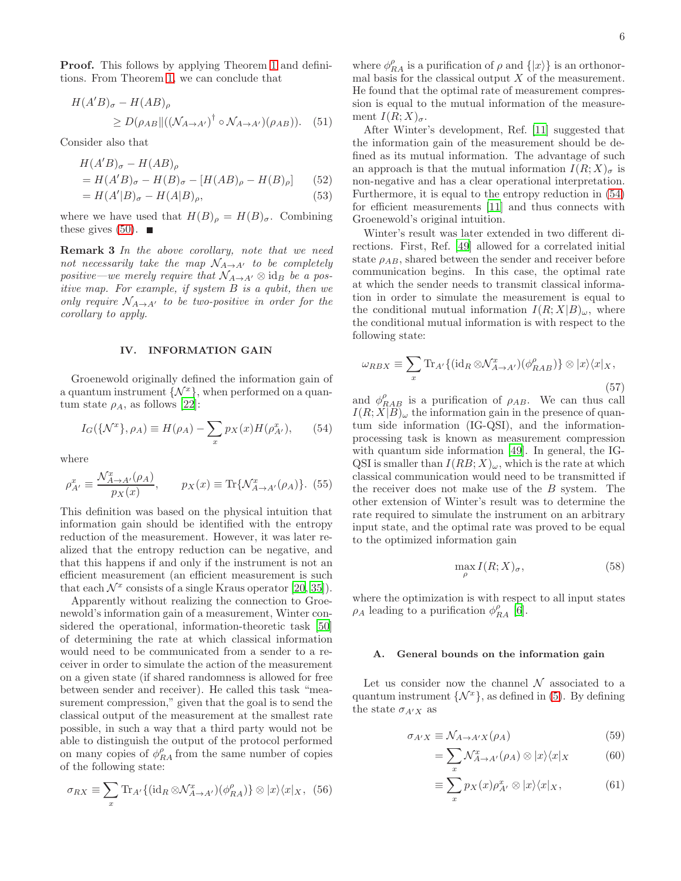Proof. This follows by applying Theorem [1](#page-5-2) and definitions. From Theorem [1,](#page-5-2) we can conclude that

$$
H(A'B)_{\sigma} - H(AB)_{\rho}
$$
  
\n
$$
\geq D(\rho_{AB} || ((\mathcal{N}_{A \to A'})^{\dagger} \circ \mathcal{N}_{A \to A'})(\rho_{AB})).
$$
 (51)

Consider also that

$$
H(A'B)_{\sigma} - H(AB)_{\rho}
$$
  
=  $H(A'B)_{\sigma} - H(B)_{\sigma} - [H(AB)_{\rho} - H(B)_{\rho}]$  (52)

$$
=H(A'|B)_{\sigma}-H(A|B)_{\rho},\tag{53}
$$

where we have used that  $H(B)_{\rho} = H(B)_{\sigma}$ . Combining these gives  $(50)$ .

Remark 3 In the above corollary, note that we need not necessarily take the map  $\mathcal{N}_{A\rightarrow A'}$  to be completely positive—we merely require that  $\mathcal{N}_{A\rightarrow A'} \otimes id_B$  be a positive map. For example, if system B is a qubit, then we only require  $\mathcal{N}_{A\to A'}$  to be two-positive in order for the corollary to apply.

#### IV. INFORMATION GAIN

Groenewold originally defined the information gain of a quantum instrument  $\{N^x\}$ , when performed on a quantum state  $\rho_A$ , as follows [\[22\]](#page-13-11):

<span id="page-7-0"></span>
$$
I_G(\{\mathcal{N}^x\}, \rho_A) \equiv H(\rho_A) - \sum_x p_X(x) H(\rho_{A'}^x), \qquad (54)
$$

where

<span id="page-7-1"></span>
$$
\rho_{A'}^x \equiv \frac{\mathcal{N}_{A \to A'}^x(\rho_A)}{p_X(x)}, \qquad p_X(x) \equiv \text{Tr}\{\mathcal{N}_{A \to A'}^x(\rho_A)\}.
$$
 (55)

This definition was based on the physical intuition that information gain should be identified with the entropy reduction of the measurement. However, it was later realized that the entropy reduction can be negative, and that this happens if and only if the instrument is not an efficient measurement (an efficient measurement is such that each  $\mathcal{N}^x$  consists of a single Kraus operator [\[20,](#page-12-16) [35\]](#page-13-26)).

Apparently without realizing the connection to Groenewold's information gain of a measurement, Winter considered the operational, information-theoretic task [\[50](#page-13-13)] of determining the rate at which classical information would need to be communicated from a sender to a receiver in order to simulate the action of the measurement on a given state (if shared randomness is allowed for free between sender and receiver). He called this task "measurement compression," given that the goal is to send the classical output of the measurement at the smallest rate possible, in such a way that a third party would not be able to distinguish the output of the protocol performed on many copies of  $\phi_{RA}^{\rho}$  from the same number of copies of the following state:

$$
\sigma_{RX} \equiv \sum_{x} \text{Tr}_{A'} \{ (\text{id}_R \otimes \mathcal{N}^x_{A \to A'}) (\phi_{RA}^\rho) \} \otimes |x\rangle \langle x|_X, \tag{56}
$$

where  $\phi_{RA}^{\rho}$  is a purification of  $\rho$  and  $\{|x\rangle\}$  is an orthonormal basis for the classical output  $X$  of the measurement. He found that the optimal rate of measurement compression is equal to the mutual information of the measurement  $I(R;X)_{\sigma}$ .

After Winter's development, Ref. [\[11](#page-12-7)] suggested that the information gain of the measurement should be defined as its mutual information. The advantage of such an approach is that the mutual information  $I(R; X)_{\sigma}$  is non-negative and has a clear operational interpretation. Furthermore, it is equal to the entropy reduction in [\(54\)](#page-7-0) for efficient measurements [\[11\]](#page-12-7) and thus connects with Groenewold's original intuition.

Winter's result was later extended in two different directions. First, Ref. [\[49\]](#page-13-12) allowed for a correlated initial state  $\rho_{AB}$ , shared between the sender and receiver before communication begins. In this case, the optimal rate at which the sender needs to transmit classical information in order to simulate the measurement is equal to the conditional mutual information  $I(R; X|B)_{\omega}$ , where the conditional mutual information is with respect to the following state:

$$
\omega_{RBX} \equiv \sum_{x} \text{Tr}_{A'} \{ (\text{id}_{R} \otimes \mathcal{N}_{A \to A'}^{x}) (\phi_{RAB}^{\rho}) \} \otimes |x\rangle \langle x|_{X},
$$
\n(57)

and  $\phi_{RAB}^{\rho}$  is a purification of  $\rho_{AB}$ . We can thus call  $I(R; X|B)_{\omega}$  the information gain in the presence of quantum side information (IG-QSI), and the informationprocessing task is known as measurement compression with quantum side information [\[49](#page-13-12)]. In general, the IG-QSI is smaller than  $I(RB; X)_{\omega}$ , which is the rate at which classical communication would need to be transmitted if the receiver does not make use of the B system. The other extension of Winter's result was to determine the rate required to simulate the instrument on an arbitrary input state, and the optimal rate was proved to be equal to the optimized information gain

$$
\max_{\rho} I(R;X)_{\sigma},\tag{58}
$$

where the optimization is with respect to all input states  $\rho_A$  leading to a purification  $\phi_{RA}^{\rho}$  [\[6\]](#page-12-6).

#### A. General bounds on the information gain

Let us consider now the channel  $\mathcal N$  associated to a quantum instrument  $\{N^x\}$ , as defined in [\(5\)](#page-4-4). By defining the state  $\sigma_{A'X}$  as

$$
\sigma_{A'X} \equiv \mathcal{N}_{A \to A'X}(\rho_A) \tag{59}
$$

$$
=\sum_{x} \mathcal{N}_{A\to A'}^{x}(\rho_A) \otimes |x\rangle\langle x|_{X} \tag{60}
$$

$$
\equiv \sum_{x} p_X(x) \rho_{A'}^x \otimes |x\rangle \langle x|_X, \tag{61}
$$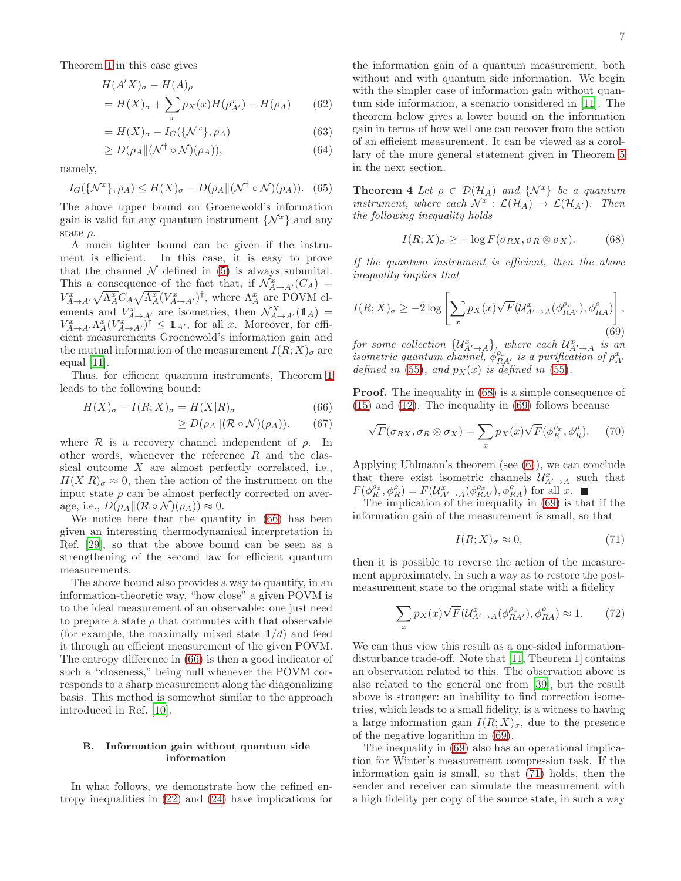Theorem [1](#page-5-2) in this case gives

$$
H(A'X)_{\sigma} - H(A)_{\rho}
$$
  
=  $H(X)_{\sigma} + \sum_{x} p_X(x)H(\rho_{A'}^x) - H(\rho_A)$  (62)

$$
=H(X)_{\sigma}-I_G(\{\mathcal{N}^x\},\rho_A)
$$
\n(63)

$$
\geq D(\rho_A \|\left(\mathcal{N}^\dagger \circ \mathcal{N}\right)(\rho_A)),\tag{64}
$$

namely,

$$
I_G(\{\mathcal{N}^x\}, \rho_A) \le H(X)_{\sigma} - D(\rho_A \| (\mathcal{N}^\dagger \circ \mathcal{N})(\rho_A)). \tag{65}
$$

The above upper bound on Groenewold's information gain is valid for any quantum instrument  $\{N^x\}$  and any state  $\rho$ .

A much tighter bound can be given if the instrument is efficient. In this case, it is easy to prove that the channel  $N$  defined in [\(5\)](#page-4-4) is always subunital. This a consequence of the fact that, if  $\mathcal{N}^x_{A\to A'}(C_A)$  =  $V_{A\rightarrow A'}^x \sqrt{\Lambda_A^x} C_A \sqrt{\Lambda_A^x} (V_{A\rightarrow A'}^x)^\dagger$ , where  $\Lambda_A^x$  are POVM elements and  $V_{A\rightarrow A'}^x$  are isometries, then  $\mathcal{N}_{A\rightarrow A'}^X(\mathbb{1}_A)$  =  $V_{A\rightarrow A'}^x \Lambda_A^x (V_{A\rightarrow A'}^x)^\dagger \leq \mathbb{1}_{A'},$  for all x. Moreover, for efficient measurements Groenewold's information gain and the mutual information of the measurement  $I(R;X)_{\sigma}$  are equal [\[11\]](#page-12-7).

Thus, for efficient quantum instruments, Theorem [1](#page-5-2) leads to the following bound:

$$
H(X)_{\sigma} - I(R;X)_{\sigma} = H(X|R)_{\sigma}
$$
\n(66)

$$
\geq D(\rho_A \| (\mathcal{R} \circ \mathcal{N})(\rho_A)). \tag{67}
$$

where  $\mathcal R$  is a recovery channel independent of  $\rho$ . In other words, whenever the reference  $R$  and the classical outcome X are almost perfectly correlated, i.e.,  $H(X|R)_{\sigma} \approx 0$ , then the action of the instrument on the input state  $\rho$  can be almost perfectly corrected on average, i.e.,  $D(\rho_A || (\mathcal{R} \circ \mathcal{N})(\rho_A)) \approx 0$ .

We notice here that the quantity in [\(66\)](#page-8-0) has been given an interesting thermodynamical interpretation in Ref. [\[29\]](#page-13-27), so that the above bound can be seen as a strengthening of the second law for efficient quantum measurements.

The above bound also provides a way to quantify, in an information-theoretic way, "how close" a given POVM is to the ideal measurement of an observable: one just need to prepare a state  $\rho$  that commutes with that observable (for example, the maximally mixed state  $1/d$ ) and feed it through an efficient measurement of the given POVM. The entropy difference in [\(66\)](#page-8-0) is then a good indicator of such a "closeness," being null whenever the POVM corresponds to a sharp measurement along the diagonalizing basis. This method is somewhat similar to the approach introduced in Ref. [\[10](#page-12-17)].

#### B. Information gain without quantum side information

In what follows, we demonstrate how the refined entropy inequalities in [\(22\)](#page-5-4) and [\(24\)](#page-5-5) have implications for

the information gain of a quantum measurement, both without and with quantum side information. We begin with the simpler case of information gain without quantum side information, a scenario considered in [\[11\]](#page-12-7). The theorem below gives a lower bound on the information gain in terms of how well one can recover from the action of an efficient measurement. It can be viewed as a corollary of the more general statement given in Theorem [5](#page-9-0) in the next section.

<span id="page-8-4"></span>**Theorem 4** Let  $\rho \in \mathcal{D}(\mathcal{H}_A)$  and  $\{ \mathcal{N}^x \}$  be a quantum instrument, where each  $\mathcal{N}^x : \mathcal{L}(\mathcal{H}_A) \to \mathcal{L}(\mathcal{H}_{A'})$ . Then the following inequality holds

<span id="page-8-1"></span>
$$
I(R;X)_{\sigma} \ge -\log F(\sigma_{RX}, \sigma_R \otimes \sigma_X). \tag{68}
$$

If the quantum instrument is efficient, then the above inequality implies that

<span id="page-8-2"></span>
$$
I(R;X)_{\sigma} \ge -2\log\left[\sum_{x} p_X(x)\sqrt{F}(\mathcal{U}_{A'\to A}^x(\phi_{RA'}^{\rho_x}), \phi_{RA}^{\rho})\right],\tag{69}
$$

for some collection  $\{\mathcal{U}_{A'\to A}^x\}$ , where each  $\mathcal{U}_{A'\to A}^x$  is an isometric quantum channel,  $\phi_{RA}^{\rho_x}$  is a purification of  $\rho_{A'}^x$ defined in [\(55\)](#page-7-1), and  $p_X(x)$  is defined in (55).

<span id="page-8-0"></span>**Proof.** The inequality in [\(68\)](#page-8-1) is a simple consequence of [\(15\)](#page-4-5) and [\(12\)](#page-4-3). The inequality in [\(69\)](#page-8-2) follows because

$$
\sqrt{F}(\sigma_{RX}, \sigma_R \otimes \sigma_X) = \sum_x p_X(x) \sqrt{F}(\phi_R^{\rho_x}, \phi_R^{\rho}). \tag{70}
$$

Applying Uhlmann's theorem (see [\(6\)](#page-4-6)), we can conclude that there exist isometric channels  $\mathcal{U}_{A'\to A}^x$  such that  $F(\phi_R^{\rho_x}, \phi_R^{\rho}) = F(\mathcal{U}_{A' \to A}^x(\phi_{RA'}^{\rho_x}), \phi_{RA}^{\rho})$  for all x.

The implication of the inequality in [\(69\)](#page-8-2) is that if the information gain of the measurement is small, so that

<span id="page-8-3"></span>
$$
I(R;X)_{\sigma} \approx 0,\t\t(71)
$$

then it is possible to reverse the action of the measurement approximately, in such a way as to restore the postmeasurement state to the original state with a fidelity

$$
\sum_{x} p_X(x) \sqrt{F} (\mathcal{U}_{A' \to A}^x(\phi_{RA'}^{\rho_x}), \phi_{RA}^{\rho}) \approx 1. \tag{72}
$$

We can thus view this result as a one-sided informationdisturbance trade-off. Note that [\[11,](#page-12-7) Theorem 1] contains an observation related to this. The observation above is also related to the general one from [\[39\]](#page-13-28), but the result above is stronger: an inability to find correction isometries, which leads to a small fidelity, is a witness to having a large information gain  $I(R;X)_{\sigma}$ , due to the presence of the negative logarithm in [\(69\)](#page-8-2).

The inequality in [\(69\)](#page-8-2) also has an operational implication for Winter's measurement compression task. If the information gain is small, so that [\(71\)](#page-8-3) holds, then the sender and receiver can simulate the measurement with a high fidelity per copy of the source state, in such a way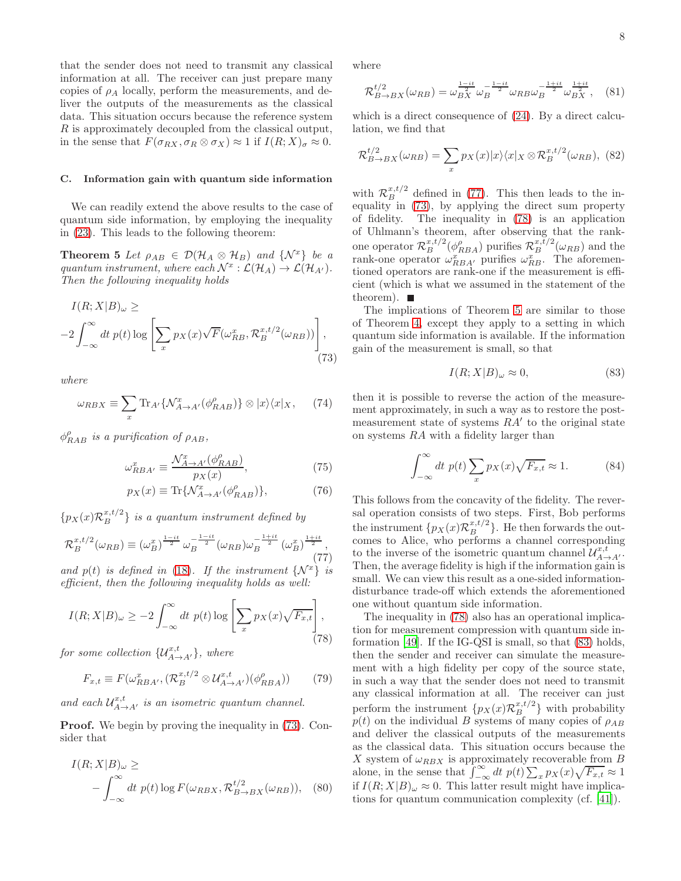that the sender does not need to transmit any classical information at all. The receiver can just prepare many copies of  $\rho_A$  locally, perform the measurements, and deliver the outputs of the measurements as the classical data. This situation occurs because the reference system R is approximately decoupled from the classical output, in the sense that  $F(\sigma_{RX}, \sigma_R \otimes \sigma_X) \approx 1$  if  $I(R; X)_{\sigma} \approx 0$ .

#### C. Information gain with quantum side information

We can readily extend the above results to the case of quantum side information, by employing the inequality in [\(23\)](#page-5-6). This leads to the following theorem:

<span id="page-9-0"></span>**Theorem 5** Let  $\rho_{AB} \in \mathcal{D}(\mathcal{H}_A \otimes \mathcal{H}_B)$  and  $\{\mathcal{N}^x\}$  be a quantum instrument, where each  $\mathcal{N}^x : \mathcal{L}(\mathcal{H}_A) \to \mathcal{L}(\mathcal{H}_{A'}).$ Then the following inequality holds

$$
I(R; X|B)_{\omega} \ge
$$
  
-2 $\int_{-\infty}^{\infty} dt p(t) \log \left[ \sum_{x} p_X(x) \sqrt{F}(\omega_{RB}^x, \mathcal{R}_B^{x,t/2}(\omega_{RB})) \right],$  (73)

where

$$
\omega_{RBX} \equiv \sum_x \text{Tr}_{A'} \{ \mathcal{N}_{A \to A'}^x(\phi_{RAB}^{\rho}) \} \otimes |x\rangle \langle x|_X, \quad (74)
$$

 $\phi_{RAB}^{\rho}$  is a purification of  $\rho_{AB}$ ,

$$
\omega_{RBA'}^x \equiv \frac{\mathcal{N}_{A \to A'}^x(\phi_{RAB}^{\rho})}{p_X(x)},\tag{75}
$$

$$
p_X(x) \equiv \text{Tr}\{\mathcal{N}_{A \to A'}^x(\phi_{RAB}^\rho)\},\tag{76}
$$

 ${p_X(x)R_B^{x,t/2}}$  is a quantum instrument defined by

<span id="page-9-2"></span>
$$
\mathcal{R}_B^{x,t/2}(\omega_{RB}) \equiv (\omega_B^x)^{\frac{1-it}{2}} \omega_B^{-\frac{1-it}{2}}(\omega_{RB}) \omega_B^{-\frac{1+it}{2}} (\omega_B^x)^{\frac{1+it}{2}},
$$
\n(77)

and  $p(t)$  is defined in [\(18\)](#page-5-7). If the instrument  $\{N^x\}$  is efficient, then the following inequality holds as well:

<span id="page-9-3"></span>
$$
I(R; X|B)_{\omega} \ge -2 \int_{-\infty}^{\infty} dt \, p(t) \log \left[ \sum_{x} p_X(x) \sqrt{F_{x,t}} \right], \tag{78}
$$

for some collection  $\{\mathcal{U}_{A\rightarrow A^{\prime}}^{x,t}\},\$  where

$$
F_{x,t} \equiv F(\omega_{RBA'}^x, (\mathcal{R}_B^{x,t/2} \otimes \mathcal{U}_{A \to A'}^{x,t})(\phi_{RBA}^\rho)) \tag{79}
$$

and each  $\mathcal{U}_{A\rightarrow A'}^{x,t}$  is an isometric quantum channel.

**Proof.** We begin by proving the inequality in  $(73)$ . Consider that

$$
I(R; X|B)_{\omega} \ge -\int_{-\infty}^{\infty} dt \ p(t) \log F(\omega_{RBX}, \mathcal{R}_{B \to BX}^{t/2}(\omega_{RB})), \quad (80)
$$

where

$$
\mathcal{R}_{B\to BX}^{t/2}(\omega_{RB}) = \omega_{BX}^{\frac{1-it}{2}} \omega_B^{-\frac{1-it}{2}} \omega_{RB} \omega_B^{-\frac{1+it}{2}} \omega_{BX}^{\frac{1+it}{2}}, \quad (81)
$$

which is a direct consequence of [\(24\)](#page-5-5). By a direct calculation, we find that

$$
\mathcal{R}_{B\to BX}^{t/2}(\omega_{RB}) = \sum_{x} p_X(x)|x\rangle\langle x|_X \otimes \mathcal{R}_B^{x,t/2}(\omega_{RB}), \tag{82}
$$

with  $\mathcal{R}_{B}^{x,t/2}$  defined in [\(77\)](#page-9-2). This then leads to the inequality in [\(73\)](#page-9-1), by applying the direct sum property of fidelity. The inequality in [\(78\)](#page-9-3) is an application of Uhlmann's theorem, after observing that the rankone operator  $\mathcal{R}_B^{x,t/2}(\phi_{RBA}^{\rho})$  purifies  $\mathcal{R}_B^{x,t/2}(\omega_{RB})$  and the rank-one operator  $\omega_{RBA'}^{x}$  purifies  $\omega_{RB}^{x}$ . The aforementioned operators are rank-one if the measurement is efficient (which is what we assumed in the statement of the theorem).  $\blacksquare$ 

The implications of Theorem [5](#page-9-0) are similar to those of Theorem [4,](#page-8-4) except they apply to a setting in which quantum side information is available. If the information gain of the measurement is small, so that

<span id="page-9-4"></span>
$$
I(R;X|B)_{\omega} \approx 0,\t\t(83)
$$

<span id="page-9-1"></span>then it is possible to reverse the action of the measurement approximately, in such a way as to restore the postmeasurement state of systems  $RA'$  to the original state on systems RA with a fidelity larger than

$$
\int_{-\infty}^{\infty} dt \, p(t) \sum_{x} p_X(x) \sqrt{F_{x,t}} \approx 1. \tag{84}
$$

This follows from the concavity of the fidelity. The reversal operation consists of two steps. First, Bob performs the instrument  $\{p_X(x) \mathcal{R}_B^{x,t/2}\}\.$  He then forwards the outcomes to Alice, who performs a channel corresponding to the inverse of the isometric quantum channel  $\mathcal{U}_{A\to A}^{x,t}$ . Then, the average fidelity is high if the information gain is small. We can view this result as a one-sided informationdisturbance trade-off which extends the aforementioned one without quantum side information.

The inequality in [\(78\)](#page-9-3) also has an operational implication for measurement compression with quantum side information [\[49\]](#page-13-12). If the IG-QSI is small, so that [\(83\)](#page-9-4) holds, then the sender and receiver can simulate the measurement with a high fidelity per copy of the source state, in such a way that the sender does not need to transmit any classical information at all. The receiver can just perform the instrument  $\{p_X(x)R_B^{x,t/2}\}\,$  with probability  $p(t)$  on the individual B systems of many copies of  $\rho_{AB}$ and deliver the classical outputs of the measurements as the classical data. This situation occurs because the X system of  $\omega_{RBX}$  is approximately recoverable from B alone, in the sense that  $\int_{-\infty}^{\infty} dt p(t) \sum_{x} p_X(x) \sqrt{F_{x,t}} \approx 1$ if  $I(R; X|B)_{\omega} \approx 0$ . This latter result might have implications for quantum communication complexity (cf. [\[41\]](#page-13-29)).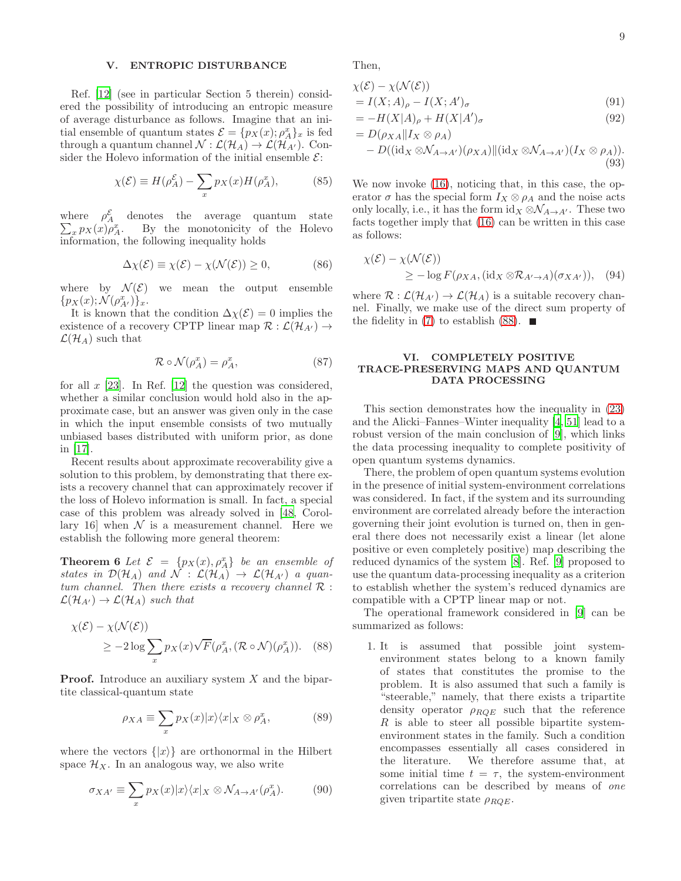(93)

#### V. ENTROPIC DISTURBANCE

Ref. [\[12\]](#page-12-8) (see in particular Section 5 therein) considered the possibility of introducing an entropic measure of average disturbance as follows. Imagine that an initial ensemble of quantum states  $\mathcal{E} = \{p_X(x); \rho_A^x\}_x$  is fed through a quantum channel  $\mathcal{N} : \mathcal{L}(\mathcal{H}_A) \to \mathcal{L}(\mathcal{H}_{A'})$ . Consider the Holevo information of the initial ensemble  $\mathcal{E}$ :

$$
\chi(\mathcal{E}) \equiv H(\rho_A^{\mathcal{E}}) - \sum_x p_X(x) H(\rho_A^x),\tag{85}
$$

where  $\rho^{\mathcal{E}}_{\mathcal{A}}$  $\sum$  $\frac{\varepsilon}{A}$  denotes the average quantum state  $x p_X(x) \rho_A^x$ . By the monotonicity of the Holevo information, the following inequality holds

$$
\Delta \chi(\mathcal{E}) \equiv \chi(\mathcal{E}) - \chi(\mathcal{N}(\mathcal{E})) \ge 0,
$$
\n(86)

where by  $\mathcal{N}(\mathcal{E})$  we mean the output ensemble  $\{p_X(x); \mathcal{N}(\rho_{A'}^x)\}_x.$ 

It is known that the condition  $\Delta \chi(\mathcal{E}) = 0$  implies the existence of a recovery CPTP linear map  $\mathcal{R} : \mathcal{L}(\mathcal{H}_{A'}) \rightarrow$  $\mathcal{L}(\mathcal{H}_A)$  such that

$$
\mathcal{R} \circ \mathcal{N}(\rho_A^x) = \rho_A^x,\tag{87}
$$

for all  $x$  [\[23\]](#page-13-30). In Ref. [\[12](#page-12-8)] the question was considered, whether a similar conclusion would hold also in the approximate case, but an answer was given only in the case in which the input ensemble consists of two mutually unbiased bases distributed with uniform prior, as done in [\[17](#page-12-18)].

Recent results about approximate recoverability give a solution to this problem, by demonstrating that there exists a recovery channel that can approximately recover if the loss of Holevo information is small. In fact, a special case of this problem was already solved in [\[48](#page-13-6), Corollary 16 when  $\mathcal N$  is a measurement channel. Here we establish the following more general theorem:

**Theorem 6** Let  $\mathcal{E} = \{p_X(x), \rho_A^x\}$  be an ensemble of states in  $\mathcal{D}(\mathcal{H}_A)$  and  $\mathcal{N}$  :  $\mathcal{L}(\mathcal{H}_A) \rightarrow \mathcal{L}(\mathcal{H}_{A'})$  a quantum channel. Then there exists a recovery channel  $\mathcal{R}$ :  $\mathcal{L}(\mathcal{H}_{A'}) \to \mathcal{L}(\mathcal{H}_{A})$  such that

$$
\chi(\mathcal{E}) - \chi(\mathcal{N}(\mathcal{E}))
$$
  
\n
$$
\geq -2\log \sum_{x} p_X(x) \sqrt{F} (\rho_A^x, (\mathcal{R} \circ \mathcal{N})(\rho_A^x)).
$$
 (88)

**Proof.** Introduce an auxiliary system X and the bipartite classical-quantum state

$$
\rho_{XA} \equiv \sum_{x} p_X(x) |x\rangle\langle x|_X \otimes \rho_A^x, \tag{89}
$$

where the vectors  $\{|x\rangle\}$  are orthonormal in the Hilbert space  $\mathcal{H}_X$ . In an analogous way, we also write

$$
\sigma_{XA'} \equiv \sum_{x} p_X(x) |x\rangle\langle x|_X \otimes \mathcal{N}_{A \to A'}(\rho_A^x). \tag{90}
$$

Then,

$$
\chi(\mathcal{E}) - \chi(\mathcal{N}(\mathcal{E}))
$$
  
=  $I(X; A)_{\rho} - I(X; A')_{\sigma}$  (91)  
=  $-H(X|A)_{\sigma} + H(X|A')_{\sigma}$  (92)

$$
= -H(X|A)_{\rho} + H(X|A')_{\sigma}
$$
\n
$$
= D(\rho_{XA}||I_X \otimes \rho_A)
$$
\n
$$
- D((id_X \otimes \mathcal{N}_{A \to A'})(\rho_{XA})||(id_X \otimes \mathcal{N}_{A \to A'})(I_X \otimes \rho_A)).
$$
\n(92)

We now invoke [\(16\)](#page-4-0), noticing that, in this case, the operator  $\sigma$  has the special form  $I_X \otimes \rho_A$  and the noise acts only locally, i.e., it has the form  $\mathrm{id}_X \otimes \mathcal{N}_{A\to A'}$ . These two facts together imply that [\(16\)](#page-4-0) can be written in this case as follows:

$$
\chi(\mathcal{E}) - \chi(\mathcal{N}(\mathcal{E}))
$$
  
\n
$$
\geq -\log F(\rho_{XA}, (\text{id}_X \otimes \mathcal{R}_{A' \to A})(\sigma_{XA'})), \quad (94)
$$

where  $\mathcal{R}: \mathcal{L}(\mathcal{H}_{A'}) \to \mathcal{L}(\mathcal{H}_{A})$  is a suitable recovery channel. Finally, we make use of the direct sum property of the fidelity in [\(7\)](#page-4-7) to establish [\(88\)](#page-10-1).  $\blacksquare$ 

#### <span id="page-10-0"></span>VI. COMPLETELY POSITIVE TRACE-PRESERVING MAPS AND QUANTUM DATA PROCESSING

This section demonstrates how the inequality in [\(23\)](#page-5-6) and the Alicki–Fannes–Winter inequality [\[4](#page-12-19), [51\]](#page-13-31) lead to a robust version of the main conclusion of [\[9\]](#page-12-9), which links the data processing inequality to complete positivity of open quantum systems dynamics.

There, the problem of open quantum systems evolution in the presence of initial system-environment correlations was considered. In fact, if the system and its surrounding environment are correlated already before the interaction governing their joint evolution is turned on, then in general there does not necessarily exist a linear (let alone positive or even completely positive) map describing the reduced dynamics of the system [\[8\]](#page-12-0). Ref. [\[9](#page-12-9)] proposed to use the quantum data-processing inequality as a criterion to establish whether the system's reduced dynamics are compatible with a CPTP linear map or not.

<span id="page-10-1"></span>The operational framework considered in [\[9\]](#page-12-9) can be summarized as follows:

1. It is assumed that possible joint systemenvironment states belong to a known family of states that constitutes the promise to the problem. It is also assumed that such a family is "steerable," namely, that there exists a tripartite density operator  $\rho_{RQE}$  such that the reference  $R$  is able to steer all possible bipartite systemenvironment states in the family. Such a condition encompasses essentially all cases considered in the literature. We therefore assume that, at some initial time  $t = \tau$ , the system-environment correlations can be described by means of one given tripartite state  $\rho_{ROE}$ .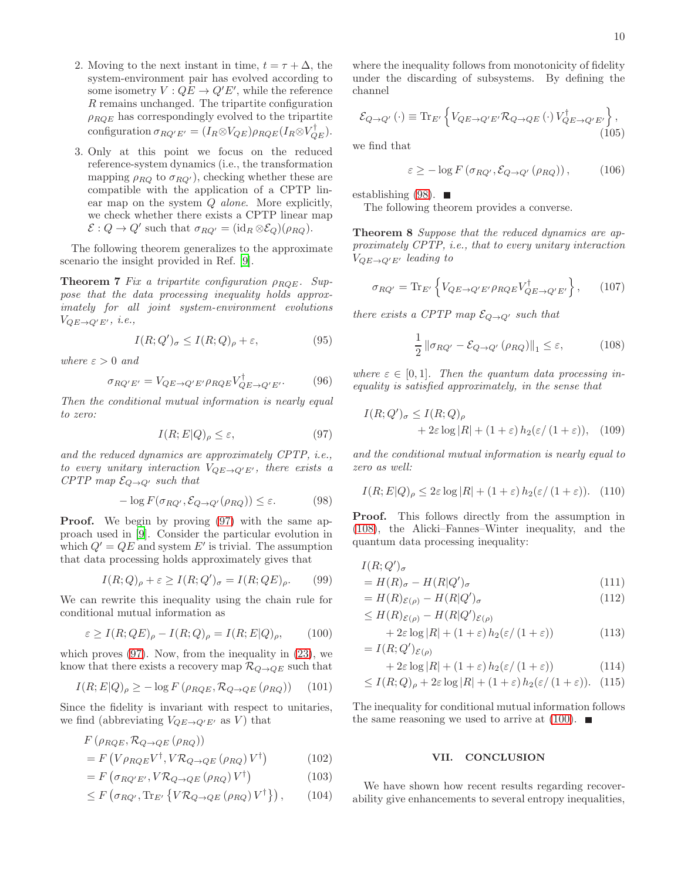- 2. Moving to the next instant in time,  $t = \tau + \Delta$ , the system-environment pair has evolved according to some isometry  $V:QE\to Q'E'$ , while the reference R remains unchanged. The tripartite configuration  $\rho_{ROE}$  has correspondingly evolved to the tripartite configuration  $\sigma_{RQ'E'} = (I_R \otimes V_{QE})\rho_{RQE} (I_R \otimes V_{QE}^{\dagger}).$
- 3. Only at this point we focus on the reduced reference-system dynamics (i.e., the transformation mapping  $\rho_{RQ}$  to  $\sigma_{RQ'}$ , checking whether these are compatible with the application of a CPTP linear map on the system Q alone. More explicitly, we check whether there exists a CPTP linear map  $\mathcal{E}: Q \to Q'$  such that  $\sigma_{RQ'} = (\mathrm{id}_R \otimes \mathcal{E}_Q)(\rho_{RQ}).$

The following theorem generalizes to the approximate scenario the insight provided in Ref. [\[9](#page-12-9)].

**Theorem 7** Fix a tripartite configuration  $\rho_{ROE}$ . Suppose that the data processing inequality holds approximately for all joint system-environment evolutions  $V_{QE\rightarrow Q'E'}$ , *i.e.*,

$$
I(R;Q')_{\sigma} \le I(R;Q)_{\rho} + \varepsilon, \tag{95}
$$

where  $\varepsilon > 0$  and

$$
\sigma_{RQ'E'} = V_{QE \to Q'E'} \rho_{RQE} V_{QE \to Q'E'}^{\dagger}.
$$
 (96)

Then the conditional mutual information is nearly equal to zero:

<span id="page-11-1"></span>
$$
I(R;E|Q)_{\rho} \le \varepsilon,\tag{97}
$$

and the reduced dynamics are approximately CPTP, i.e., to every unitary interaction  $V_{QE\rightarrow Q'E'}$ , there exists a CPTP map  $\mathcal{E}_{Q\to Q'}$  such that

<span id="page-11-2"></span>
$$
-\log F(\sigma_{RQ'}, \mathcal{E}_{Q \to Q'}(\rho_{RQ})) \le \varepsilon. \tag{98}
$$

**Proof.** We begin by proving [\(97\)](#page-11-1) with the same approach used in [\[9\]](#page-12-9). Consider the particular evolution in which  $Q' = QE$  and system E' is trivial. The assumption that data processing holds approximately gives that

$$
I(R;Q)_{\rho} + \varepsilon \ge I(R;Q')_{\sigma} = I(R;QE)_{\rho}.
$$
 (99)

We can rewrite this inequality using the chain rule for conditional mutual information as

<span id="page-11-4"></span>
$$
\varepsilon \ge I(R; QE)_{\rho} - I(R; Q)_{\rho} = I(R; E|Q)_{\rho}, \qquad (100)
$$

which proves  $(97)$ . Now, from the inequality in  $(23)$ , we know that there exists a recovery map  $\mathcal{R}_{Q\to QE}$  such that

$$
I(R; E|Q)_{\rho} \ge -\log F\left(\rho_{RQE}, \mathcal{R}_{Q \to QE}(\rho_{RQ})\right) \tag{101}
$$

Since the fidelity is invariant with respect to unitaries, we find (abbreviating  $V_{QE\rightarrow Q'E'}$  as V) that

$$
F(\rho_{RQE}, \mathcal{R}_{Q \to QE}(\rho_{RQ}))
$$
  
=  $F(V\rho_{RQE}V^{\dagger}, V\mathcal{R}_{Q \to QE}(\rho_{RQ})V^{\dagger})$  (102)

$$
= F\left(\sigma_{RQ'E'}, V\mathcal{R}_{Q\to QE}(\rho_{RQ})V^{\dagger}\right)
$$
\n(103)

$$
\leq F\left(\sigma_{RQ'}, \text{Tr}_{E'}\left\{V\mathcal{R}_{Q\to QE}\left(\rho_{RQ}\right)V^{\dagger}\right\}\right),\tag{104}
$$

where the inequality follows from monotonicity of fidelity under the discarding of subsystems. By defining the channel

$$
\mathcal{E}_{Q \to Q'} (\cdot) \equiv \text{Tr}_{E'} \left\{ V_{QE \to Q'E'} \mathcal{R}_{Q \to QE} (\cdot) V_{QE \to Q'E'}^{\dagger} \right\},\tag{105}
$$

we find that

$$
\varepsilon \geq -\log F\left(\sigma_{RQ'}, \mathcal{E}_{Q\to Q'}\left(\rho_{RQ}\right)\right),\tag{106}
$$

establishing  $(98)$ .

The following theorem provides a converse.

Theorem 8 Suppose that the reduced dynamics are approximately CPTP, i.e., that to every unitary interaction  $V_{QE\rightarrow Q'E'}$  leading to

$$
\sigma_{RQ'} = \text{Tr}_{E'} \left\{ V_{QE \to Q'E'} \rho_{RQE} V_{QE \to Q'E'}^{\dagger} \right\}, \qquad (107)
$$

there exists a CPTP map  $\mathcal{E}_{Q\to Q'}$  such that

<span id="page-11-3"></span>
$$
\frac{1}{2} \left\| \sigma_{RQ'} - \mathcal{E}_{Q \to Q'} \left( \rho_{RQ} \right) \right\|_1 \le \varepsilon, \tag{108}
$$

where  $\varepsilon \in [0,1]$ . Then the quantum data processing inequality is satisfied approximately, in the sense that

$$
I(R; Q')_{\sigma} \le I(R; Q)_{\rho}
$$
  
+ 2\varepsilon \log |R| + (1 + \varepsilon) h\_2(\varepsilon/(1 + \varepsilon)), (109)

and the conditional mutual information is nearly equal to zero as well:

$$
I(R; E|Q)_{\rho} \le 2\varepsilon \log |R| + (1 + \varepsilon) h_2(\varepsilon/(1 + \varepsilon)). \quad (110)
$$

**Proof.** This follows directly from the assumption in [\(108\)](#page-11-3), the Alicki–Fannes–Winter inequality, and the quantum data processing inequality:

$$
I(R; Q')_{\sigma}
$$
  
=  $H(R)_{\sigma} - H(R|Q')_{\sigma}$  (111)

$$
=H(R)\varepsilon(\rho) - H(R|Q')_{\sigma}
$$
\n(112)

$$
\leq H(R)_{\mathcal{E}(\rho)} - H(R|Q')_{\mathcal{E}(\rho)} + 2\varepsilon \log|R| + (1+\varepsilon) h_2(\varepsilon/(1+\varepsilon))
$$
\n(113)

$$
= I(R; Q')_{\mathcal{E}(\rho)}
$$

$$
+ 2\varepsilon \log |R| + (1 + \varepsilon) h_2(\varepsilon / (1 + \varepsilon)) \tag{114}
$$

$$
\leq I(R;Q)_{\rho} + 2\varepsilon \log|R| + (1+\varepsilon) h_2(\varepsilon/(1+\varepsilon)). \quad (115)
$$

The inequality for conditional mutual information follows the same reasoning we used to arrive at  $(100)$ .

#### <span id="page-11-0"></span>VII. CONCLUSION

We have shown how recent results regarding recoverability give enhancements to several entropy inequalities,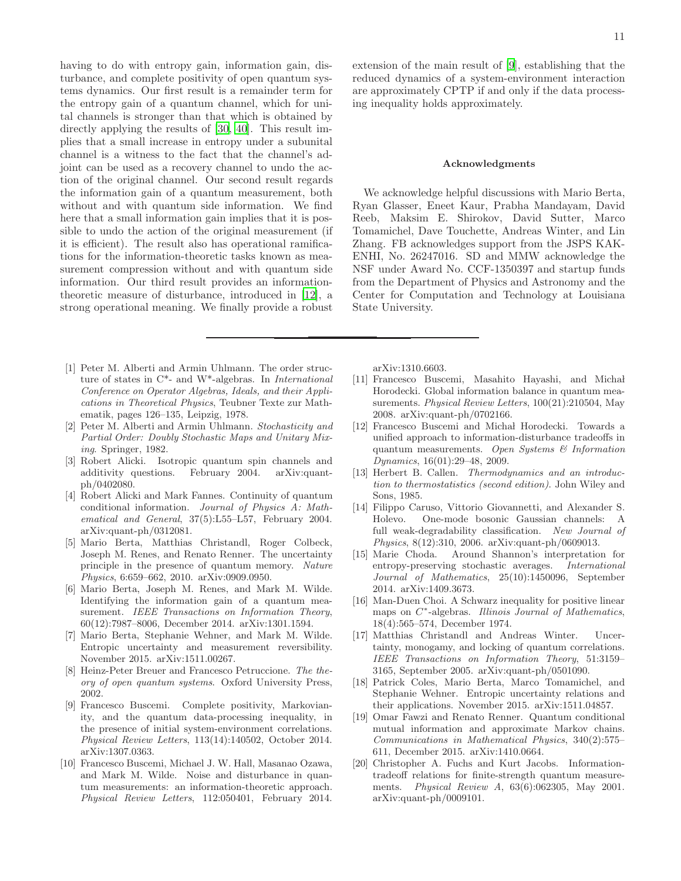having to do with entropy gain, information gain, disturbance, and complete positivity of open quantum systems dynamics. Our first result is a remainder term for the entropy gain of a quantum channel, which for unital channels is stronger than that which is obtained by directly applying the results of [\[30,](#page-13-8) [40](#page-13-9)]. This result implies that a small increase in entropy under a subunital channel is a witness to the fact that the channel's adjoint can be used as a recovery channel to undo the action of the original channel. Our second result regards the information gain of a quantum measurement, both without and with quantum side information. We find here that a small information gain implies that it is possible to undo the action of the original measurement (if it is efficient). The result also has operational ramifications for the information-theoretic tasks known as measurement compression without and with quantum side information. Our third result provides an informationtheoretic measure of disturbance, introduced in [\[12\]](#page-12-8), a strong operational meaning. We finally provide a robust

- <span id="page-12-10"></span>[1] Peter M. Alberti and Armin Uhlmann. The order structure of states in C\*- and W\*-algebras. In International Conference on Operator Algebras, Ideals, and their Applications in Theoretical Physics, Teubner Texte zur Mathematik, pages 126–135, Leipzig, 1978.
- <span id="page-12-11"></span>[2] Peter M. Alberti and Armin Uhlmann. Stochasticity and Partial Order: Doubly Stochastic Maps and Unitary Mixing. Springer, 1982.
- <span id="page-12-15"></span>[3] Robert Alicki. Isotropic quantum spin channels and additivity questions. February 2004. arXiv:quantph/0402080.
- <span id="page-12-19"></span>[4] Robert Alicki and Mark Fannes. Continuity of quantum conditional information. Journal of Physics A: Mathematical and General, 37(5):L55–L57, February 2004. arXiv:quant-ph/0312081.
- <span id="page-12-5"></span>[5] Mario Berta, Matthias Christandl, Roger Colbeck, Joseph M. Renes, and Renato Renner. The uncertainty principle in the presence of quantum memory. Nature Physics, 6:659–662, 2010. arXiv:0909.0950.
- <span id="page-12-6"></span>[6] Mario Berta, Joseph M. Renes, and Mark M. Wilde. Identifying the information gain of a quantum measurement. IEEE Transactions on Information Theory, 60(12):7987–8006, December 2014. arXiv:1301.1594.
- <span id="page-12-4"></span>[7] Mario Berta, Stephanie Wehner, and Mark M. Wilde. Entropic uncertainty and measurement reversibility. November 2015. arXiv:1511.00267.
- <span id="page-12-0"></span>[8] Heinz-Peter Breuer and Francesco Petruccione. The theory of open quantum systems. Oxford University Press, 2002.
- <span id="page-12-9"></span>[9] Francesco Buscemi. Complete positivity, Markovianity, and the quantum data-processing inequality, in the presence of initial system-environment correlations. Physical Review Letters, 113(14):140502, October 2014. arXiv:1307.0363.
- <span id="page-12-17"></span>[10] Francesco Buscemi, Michael J. W. Hall, Masanao Ozawa, and Mark M. Wilde. Noise and disturbance in quantum measurements: an information-theoretic approach. Physical Review Letters, 112:050401, February 2014.

extension of the main result of [\[9\]](#page-12-9), establishing that the reduced dynamics of a system-environment interaction are approximately CPTP if and only if the data processing inequality holds approximately.

#### Acknowledgments

We acknowledge helpful discussions with Mario Berta, Ryan Glasser, Eneet Kaur, Prabha Mandayam, David Reeb, Maksim E. Shirokov, David Sutter, Marco Tomamichel, Dave Touchette, Andreas Winter, and Lin Zhang. FB acknowledges support from the JSPS KAK-ENHI, No. 26247016. SD and MMW acknowledge the NSF under Award No. CCF-1350397 and startup funds from the Department of Physics and Astronomy and the Center for Computation and Technology at Louisiana State University.

arXiv:1310.6603.

- <span id="page-12-7"></span>[11] Francesco Buscemi, Masahito Hayashi, and Michał Horodecki. Global information balance in quantum measurements. Physical Review Letters, 100(21):210504, May 2008. arXiv:quant-ph/0702166.
- <span id="page-12-8"></span>[12] Francesco Buscemi and Michał Horodecki. Towards a unified approach to information-disturbance tradeoffs in quantum measurements. Open Systems  $\mathcal{C}$  Information Dynamics, 16(01):29–48, 2009.
- <span id="page-12-1"></span>[13] Herbert B. Callen. *Thermodynamics and an introduc*tion to thermostatistics (second edition). John Wiley and Sons, 1985.
- <span id="page-12-14"></span>[14] Filippo Caruso, Vittorio Giovannetti, and Alexander S. Holevo. One-mode bosonic Gaussian channels: A full weak-degradability classification. New Journal of Physics, 8(12):310, 2006. arXiv:quant-ph/0609013.
- <span id="page-12-13"></span>[15] Marie Choda. Around Shannon's interpretation for entropy-preserving stochastic averages. International Journal of Mathematics, 25(10):1450096, September 2014. arXiv:1409.3673.
- <span id="page-12-12"></span>[16] Man-Duen Choi. A Schwarz inequality for positive linear maps on  $C^*$ -algebras. Illinois Journal of Mathematics, 18(4):565–574, December 1974.
- <span id="page-12-18"></span>[17] Matthias Christandl and Andreas Winter. Uncertainty, monogamy, and locking of quantum correlations. IEEE Transactions on Information Theory, 51:3159– 3165, September 2005. arXiv:quant-ph/0501090.
- <span id="page-12-2"></span>[18] Patrick Coles, Mario Berta, Marco Tomamichel, and Stephanie Wehner. Entropic uncertainty relations and their applications. November 2015. arXiv:1511.04857.
- <span id="page-12-3"></span>[19] Omar Fawzi and Renato Renner. Quantum conditional mutual information and approximate Markov chains. Communications in Mathematical Physics, 340(2):575– 611, December 2015. arXiv:1410.0664.
- <span id="page-12-16"></span>[20] Christopher A. Fuchs and Kurt Jacobs. Informationtradeoff relations for finite-strength quantum measurements. Physical Review A, 63(6):062305, May 2001. arXiv:quant-ph/0009101.